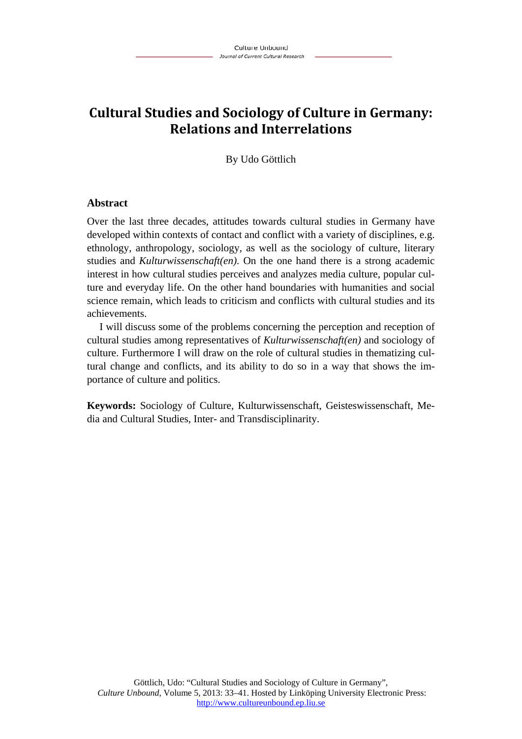# **Cultural Studies and Sociology of Culture in Germany: Relations and Interrelations**

By Udo Göttlich

### **Abstract**

Over the last three decades, attitudes towards cultural studies in Germany have developed within contexts of contact and conflict with a variety of disciplines, e.g. ethnology, anthropology, sociology, as well as the sociology of culture, literary studies and *Kulturwissenschaft(en)*. On the one hand there is a strong academic interest in how cultural studies perceives and analyzes media culture, popular culture and everyday life. On the other hand boundaries with humanities and social science remain, which leads to criticism and conflicts with cultural studies and its achievements.

I will discuss some of the problems concerning the perception and reception of cultural studies among representatives of *Kulturwissenschaft(en)* and sociology of culture. Furthermore I will draw on the role of cultural studies in thematizing cultural change and conflicts, and its ability to do so in a way that shows the importance of culture and politics.

**Keywords:** Sociology of Culture, Kulturwissenschaft, Geisteswissenschaft, Media and Cultural Studies, Inter- and Transdisciplinarity.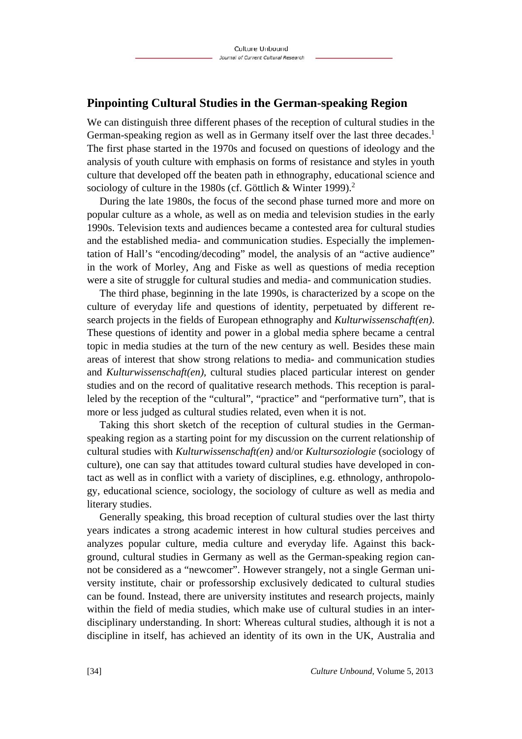### **Pinpointing Cultural Studies in the German-speaking Region**

We can distinguish three different phases of the reception of cultural studies in the German-speaking region as well as in Germany itself over the last three decades.<sup>1</sup> The first phase started in the 1970s and focused on questions of ideology and the analysis of youth culture with emphasis on forms of resistance and styles in youth culture that developed off the beaten path in ethnography, educational science and sociology of culture in the 1980s (cf. Göttlich & Winter 1999).<sup>2</sup>

During the late 1980s, the focus of the second phase turned more and more on popular culture as a whole, as well as on media and television studies in the early 1990s. Television texts and audiences became a contested area for cultural studies and the established media- and communication studies. Especially the implementation of Hall's "encoding/decoding" model, the analysis of an "active audience" in the work of Morley, Ang and Fiske as well as questions of media reception were a site of struggle for cultural studies and media- and communication studies.

The third phase, beginning in the late 1990s, is characterized by a scope on the culture of everyday life and questions of identity, perpetuated by different research projects in the fields of European ethnography and *Kulturwissenschaft(en)*. These questions of identity and power in a global media sphere became a central topic in media studies at the turn of the new century as well. Besides these main areas of interest that show strong relations to media- and communication studies and *Kulturwissenschaft(en),* cultural studies placed particular interest on gender studies and on the record of qualitative research methods. This reception is paralleled by the reception of the "cultural", "practice" and "performative turn", that is more or less judged as cultural studies related, even when it is not.

Taking this short sketch of the reception of cultural studies in the Germanspeaking region as a starting point for my discussion on the current relationship of cultural studies with *Kulturwissenschaft(en)* and/or *Kultursoziologie* (sociology of culture), one can say that attitudes toward cultural studies have developed in contact as well as in conflict with a variety of disciplines, e.g. ethnology, anthropology, educational science, sociology, the sociology of culture as well as media and literary studies.

Generally speaking, this broad reception of cultural studies over the last thirty years indicates a strong academic interest in how cultural studies perceives and analyzes popular culture, media culture and everyday life. Against this background, cultural studies in Germany as well as the German-speaking region cannot be considered as a "newcomer". However strangely, not a single German university institute, chair or professorship exclusively dedicated to cultural studies can be found. Instead, there are university institutes and research projects, mainly within the field of media studies, which make use of cultural studies in an interdisciplinary understanding. In short: Whereas cultural studies, although it is not a discipline in itself, has achieved an identity of its own in the UK, Australia and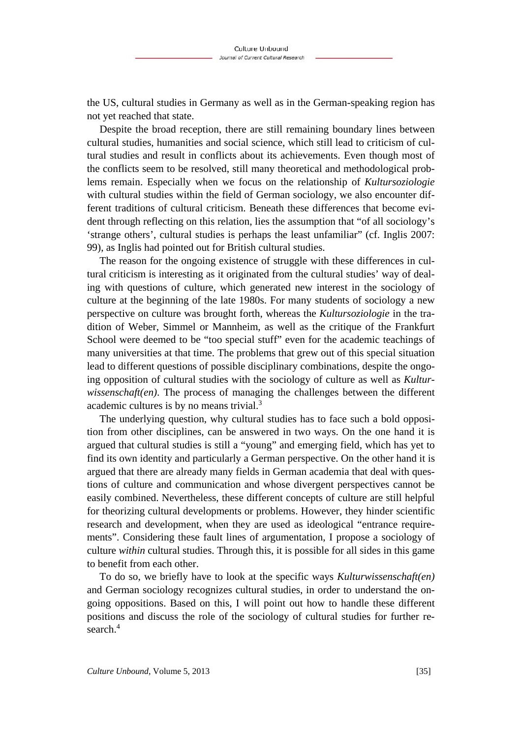the US, cultural studies in Germany as well as in the German-speaking region has not yet reached that state.

Despite the broad reception, there are still remaining boundary lines between cultural studies, humanities and social science, which still lead to criticism of cultural studies and result in conflicts about its achievements. Even though most of the conflicts seem to be resolved, still many theoretical and methodological problems remain. Especially when we focus on the relationship of *Kultursoziologie* with cultural studies within the field of German sociology, we also encounter different traditions of cultural criticism. Beneath these differences that become evident through reflecting on this relation, lies the assumption that "of all sociology's 'strange others', cultural studies is perhaps the least unfamiliar" (cf. Inglis 2007: 99), as Inglis had pointed out for British cultural studies.

The reason for the ongoing existence of struggle with these differences in cultural criticism is interesting as it originated from the cultural studies' way of dealing with questions of culture, which generated new interest in the sociology of culture at the beginning of the late 1980s. For many students of sociology a new perspective on culture was brought forth, whereas the *Kultursoziologie* in the tradition of Weber, Simmel or Mannheim, as well as the critique of the Frankfurt School were deemed to be "too special stuff" even for the academic teachings of many universities at that time. The problems that grew out of this special situation lead to different questions of possible disciplinary combinations, despite the ongoing opposition of cultural studies with the sociology of culture as well as *Kulturwissenschaft(en)*. The process of managing the challenges between the different academic cultures is by no means trivial.3

The underlying question, why cultural studies has to face such a bold opposition from other disciplines, can be answered in two ways. On the one hand it is argued that cultural studies is still a "young" and emerging field, which has yet to find its own identity and particularly a German perspective. On the other hand it is argued that there are already many fields in German academia that deal with questions of culture and communication and whose divergent perspectives cannot be easily combined. Nevertheless, these different concepts of culture are still helpful for theorizing cultural developments or problems. However, they hinder scientific research and development, when they are used as ideological "entrance requirements". Considering these fault lines of argumentation, I propose a sociology of culture *within* cultural studies. Through this, it is possible for all sides in this game to benefit from each other.

To do so, we briefly have to look at the specific ways *Kulturwissenschaft(en)* and German sociology recognizes cultural studies, in order to understand the ongoing oppositions. Based on this, I will point out how to handle these different positions and discuss the role of the sociology of cultural studies for further research.<sup>4</sup>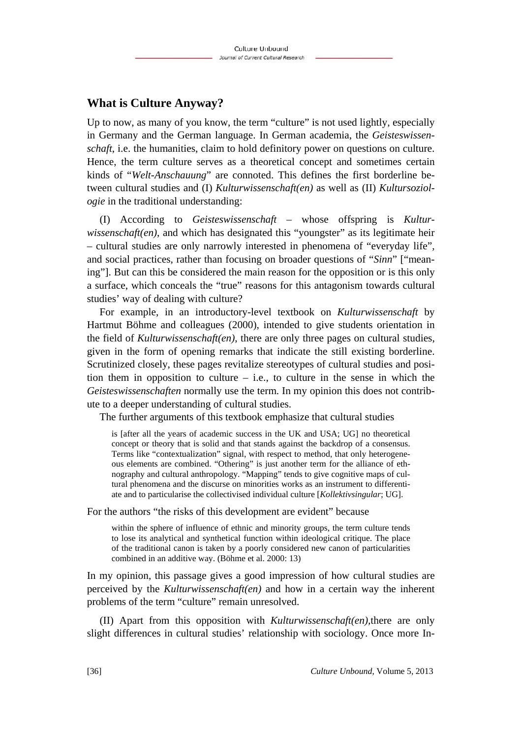### **What is Culture Anyway?**

Up to now, as many of you know, the term "culture" is not used lightly, especially in Germany and the German language. In German academia, the *Geisteswissenschaft*, i.e. the humanities, claim to hold definitory power on questions on culture. Hence, the term culture serves as a theoretical concept and sometimes certain kinds of "*Welt-Anschauung*" are connoted. This defines the first borderline between cultural studies and (I) *Kulturwissenschaft(en)* as well as (II) *Kultursoziologie* in the traditional understanding:

(I) According to *Geisteswissenschaft* – whose offspring is *Kulturwissenschaft(en)*, and which has designated this "youngster" as its legitimate heir – cultural studies are only narrowly interested in phenomena of "everyday life", and social practices, rather than focusing on broader questions of "*Sinn*" ["meaning"]. But can this be considered the main reason for the opposition or is this only a surface, which conceals the "true" reasons for this antagonism towards cultural studies' way of dealing with culture?

For example, in an introductory-level textbook on *Kulturwissenschaft* by Hartmut Böhme and colleagues (2000), intended to give students orientation in the field of *Kulturwissenschaft(en)*, there are only three pages on cultural studies, given in the form of opening remarks that indicate the still existing borderline. Scrutinized closely, these pages revitalize stereotypes of cultural studies and position them in opposition to culture – i.e., to culture in the sense in which the *Geisteswissenschaften* normally use the term. In my opinion this does not contribute to a deeper understanding of cultural studies.

The further arguments of this textbook emphasize that cultural studies

is [after all the years of academic success in the UK and USA; UG] no theoretical concept or theory that is solid and that stands against the backdrop of a consensus. Terms like "contextualization" signal, with respect to method, that only heterogeneous elements are combined. "Othering" is just another term for the alliance of ethnography and cultural anthropology. "Mapping" tends to give cognitive maps of cultural phenomena and the discurse on minorities works as an instrument to differentiate and to particularise the collectivised individual culture [*Kollektivsingular*; UG].

For the authors "the risks of this development are evident" because

within the sphere of influence of ethnic and minority groups, the term culture tends to lose its analytical and synthetical function within ideological critique. The place of the traditional canon is taken by a poorly considered new canon of particularities combined in an additive way. (Böhme et al. 2000: 13)

In my opinion, this passage gives a good impression of how cultural studies are perceived by the *Kulturwissenschaft(en)* and how in a certain way the inherent problems of the term "culture" remain unresolved.

(II) Apart from this opposition with *Kulturwissenschaft(en),*there are only slight differences in cultural studies' relationship with sociology. Once more In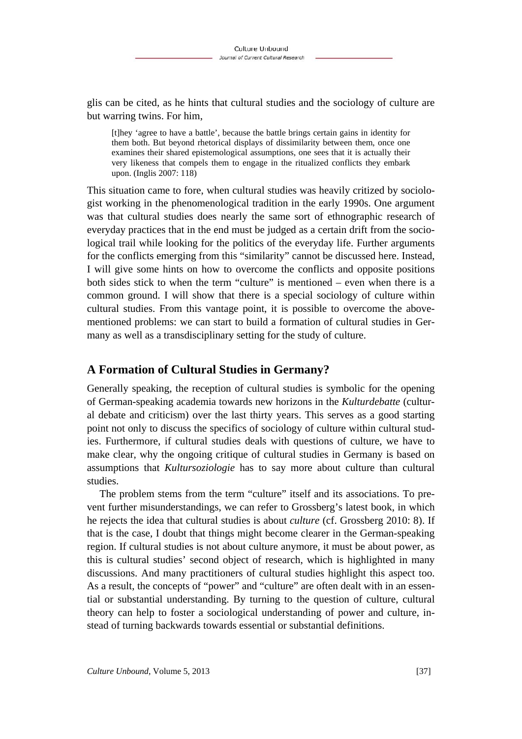glis can be cited, as he hints that cultural studies and the sociology of culture are but warring twins. For him,

[t]hey 'agree to have a battle', because the battle brings certain gains in identity for them both. But beyond rhetorical displays of dissimilarity between them, once one examines their shared epistemological assumptions, one sees that it is actually their very likeness that compels them to engage in the ritualized conflicts they embark upon. (Inglis 2007: 118)

This situation came to fore, when cultural studies was heavily critized by sociologist working in the phenomenological tradition in the early 1990s. One argument was that cultural studies does nearly the same sort of ethnographic research of everyday practices that in the end must be judged as a certain drift from the sociological trail while looking for the politics of the everyday life. Further arguments for the conflicts emerging from this "similarity" cannot be discussed here. Instead, I will give some hints on how to overcome the conflicts and opposite positions both sides stick to when the term "culture" is mentioned – even when there is a common ground. I will show that there is a special sociology of culture within cultural studies. From this vantage point, it is possible to overcome the abovementioned problems: we can start to build a formation of cultural studies in Germany as well as a transdisciplinary setting for the study of culture.

# **A Formation of Cultural Studies in Germany?**

Generally speaking, the reception of cultural studies is symbolic for the opening of German-speaking academia towards new horizons in the *Kulturdebatte* (cultural debate and criticism) over the last thirty years. This serves as a good starting point not only to discuss the specifics of sociology of culture within cultural studies. Furthermore, if cultural studies deals with questions of culture, we have to make clear, why the ongoing critique of cultural studies in Germany is based on assumptions that *Kultursoziologie* has to say more about culture than cultural studies.

The problem stems from the term "culture" itself and its associations. To prevent further misunderstandings, we can refer to Grossberg's latest book, in which he rejects the idea that cultural studies is about *culture* (cf. Grossberg 2010: 8). If that is the case, I doubt that things might become clearer in the German-speaking region. If cultural studies is not about culture anymore, it must be about power, as this is cultural studies' second object of research, which is highlighted in many discussions. And many practitioners of cultural studies highlight this aspect too. As a result, the concepts of "power" and "culture" are often dealt with in an essential or substantial understanding. By turning to the question of culture, cultural theory can help to foster a sociological understanding of power and culture, instead of turning backwards towards essential or substantial definitions.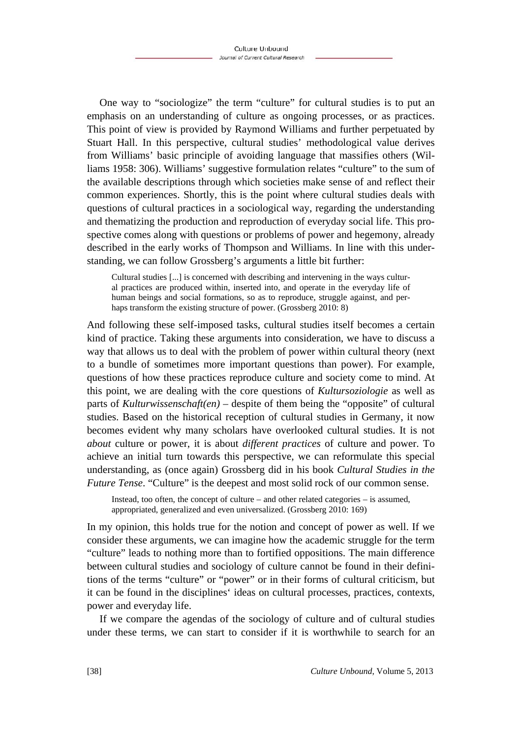One way to "sociologize" the term "culture" for cultural studies is to put an emphasis on an understanding of culture as ongoing processes, or as practices. This point of view is provided by Raymond Williams and further perpetuated by Stuart Hall. In this perspective, cultural studies' methodological value derives from Williams' basic principle of avoiding language that massifies others (Williams 1958: 306). Williams' suggestive formulation relates "culture" to the sum of the available descriptions through which societies make sense of and reflect their common experiences. Shortly, this is the point where cultural studies deals with questions of cultural practices in a sociological way, regarding the understanding and thematizing the production and reproduction of everyday social life. This prospective comes along with questions or problems of power and hegemony, already described in the early works of Thompson and Williams. In line with this understanding, we can follow Grossberg's arguments a little bit further:

Cultural studies [...] is concerned with describing and intervening in the ways cultural practices are produced within, inserted into, and operate in the everyday life of human beings and social formations, so as to reproduce, struggle against, and perhaps transform the existing structure of power. (Grossberg 2010: 8)

And following these self-imposed tasks, cultural studies itself becomes a certain kind of practice. Taking these arguments into consideration, we have to discuss a way that allows us to deal with the problem of power within cultural theory (next to a bundle of sometimes more important questions than power). For example, questions of how these practices reproduce culture and society come to mind. At this point, we are dealing with the core questions of *Kultursoziologie* as well as parts of *Kulturwissenschaft(en)* – despite of them being the "opposite" of cultural studies. Based on the historical reception of cultural studies in Germany, it now becomes evident why many scholars have overlooked cultural studies. It is not *about* culture or power, it is about *different practices* of culture and power. To achieve an initial turn towards this perspective, we can reformulate this special understanding, as (once again) Grossberg did in his book *Cultural Studies in the Future Tense*. "Culture" is the deepest and most solid rock of our common sense.

Instead, too often, the concept of culture – and other related categories – is assumed, appropriated, generalized and even universalized. (Grossberg 2010: 169)

In my opinion, this holds true for the notion and concept of power as well. If we consider these arguments, we can imagine how the academic struggle for the term "culture" leads to nothing more than to fortified oppositions. The main difference between cultural studies and sociology of culture cannot be found in their definitions of the terms "culture" or "power" or in their forms of cultural criticism, but it can be found in the disciplines' ideas on cultural processes, practices, contexts, power and everyday life.

If we compare the agendas of the sociology of culture and of cultural studies under these terms, we can start to consider if it is worthwhile to search for an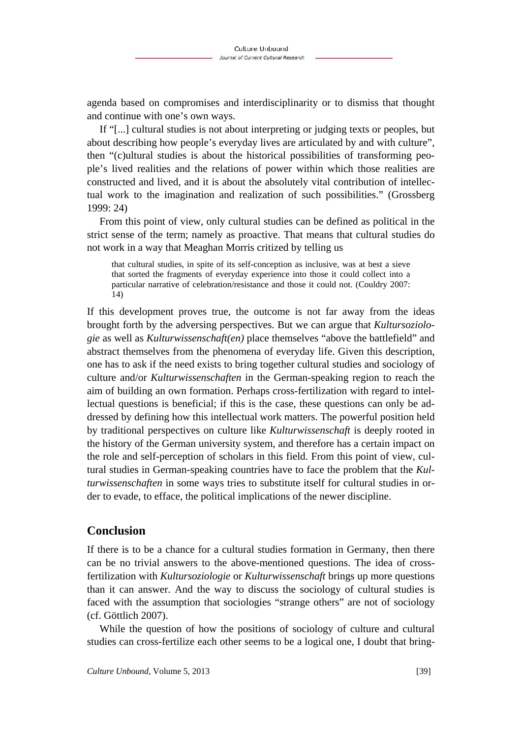agenda based on compromises and interdisciplinarity or to dismiss that thought and continue with one's own ways.

If "[...] cultural studies is not about interpreting or judging texts or peoples, but about describing how people's everyday lives are articulated by and with culture", then "(c)ultural studies is about the historical possibilities of transforming people's lived realities and the relations of power within which those realities are constructed and lived, and it is about the absolutely vital contribution of intellectual work to the imagination and realization of such possibilities." (Grossberg 1999: 24)

From this point of view, only cultural studies can be defined as political in the strict sense of the term; namely as proactive. That means that cultural studies do not work in a way that Meaghan Morris critized by telling us

that cultural studies, in spite of its self-conception as inclusive, was at best a sieve that sorted the fragments of everyday experience into those it could collect into a particular narrative of celebration/resistance and those it could not. (Couldry 2007: 14)

If this development proves true, the outcome is not far away from the ideas brought forth by the adversing perspectives. But we can argue that *Kultursoziologie* as well as *Kulturwissenschaft(en)* place themselves "above the battlefield" and abstract themselves from the phenomena of everyday life. Given this description, one has to ask if the need exists to bring together cultural studies and sociology of culture and/or *Kulturwissenschaften* in the German-speaking region to reach the aim of building an own formation. Perhaps cross-fertilization with regard to intellectual questions is beneficial; if this is the case, these questions can only be addressed by defining how this intellectual work matters. The powerful position held by traditional perspectives on culture like *Kulturwissenschaft* is deeply rooted in the history of the German university system, and therefore has a certain impact on the role and self-perception of scholars in this field. From this point of view, cultural studies in German-speaking countries have to face the problem that the *Kulturwissenschaften* in some ways tries to substitute itself for cultural studies in order to evade, to efface, the political implications of the newer discipline.

## **Conclusion**

If there is to be a chance for a cultural studies formation in Germany, then there can be no trivial answers to the above-mentioned questions. The idea of crossfertilization with *Kultursoziologie* or *Kulturwissenschaft* brings up more questions than it can answer. And the way to discuss the sociology of cultural studies is faced with the assumption that sociologies "strange others" are not of sociology (cf. Göttlich 2007).

While the question of how the positions of sociology of culture and cultural studies can cross-fertilize each other seems to be a logical one, I doubt that bring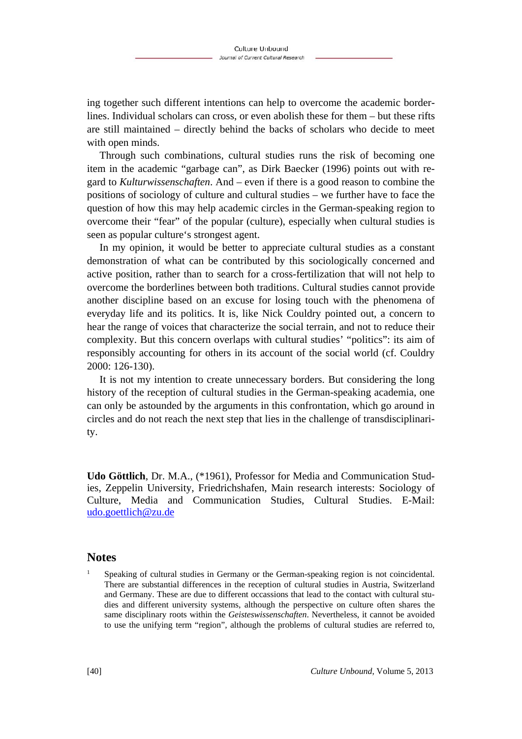ing together such different intentions can help to overcome the academic borderlines. Individual scholars can cross, or even abolish these for them – but these rifts are still maintained – directly behind the backs of scholars who decide to meet with open minds.

Through such combinations, cultural studies runs the risk of becoming one item in the academic "garbage can", as Dirk Baecker (1996) points out with regard to *Kulturwissenschaften*. And – even if there is a good reason to combine the positions of sociology of culture and cultural studies – we further have to face the question of how this may help academic circles in the German-speaking region to overcome their "fear" of the popular (culture), especially when cultural studies is seen as popular culture's strongest agent.

In my opinion, it would be better to appreciate cultural studies as a constant demonstration of what can be contributed by this sociologically concerned and active position, rather than to search for a cross-fertilization that will not help to overcome the borderlines between both traditions. Cultural studies cannot provide another discipline based on an excuse for losing touch with the phenomena of everyday life and its politics. It is, like Nick Couldry pointed out, a concern to hear the range of voices that characterize the social terrain, and not to reduce their complexity. But this concern overlaps with cultural studies' "politics": its aim of responsibly accounting for others in its account of the social world (cf. Couldry 2000: 126-130).

It is not my intention to create unnecessary borders. But considering the long history of the reception of cultural studies in the German-speaking academia, one can only be astounded by the arguments in this confrontation, which go around in circles and do not reach the next step that lies in the challenge of transdisciplinarity.

**Udo Göttlich**, Dr. M.A., (\*1961), Professor for Media and Communication Studies, Zeppelin University, Friedrichshafen, Main research interests: Sociology of Culture, Media and Communication Studies, Cultural Studies. E-Mail: udo.goettlich@zu.de

#### **Notes**

1

 Speaking of cultural studies in Germany or the German-speaking region is not coincidental. There are substantial differences in the reception of cultural studies in Austria, Switzerland and Germany. These are due to different occassions that lead to the contact with cultural studies and different university systems, although the perspective on culture often shares the same disciplinary roots within the *Geisteswissenschaften*. Nevertheless, it cannot be avoided to use the unifying term "region", although the problems of cultural studies are referred to,